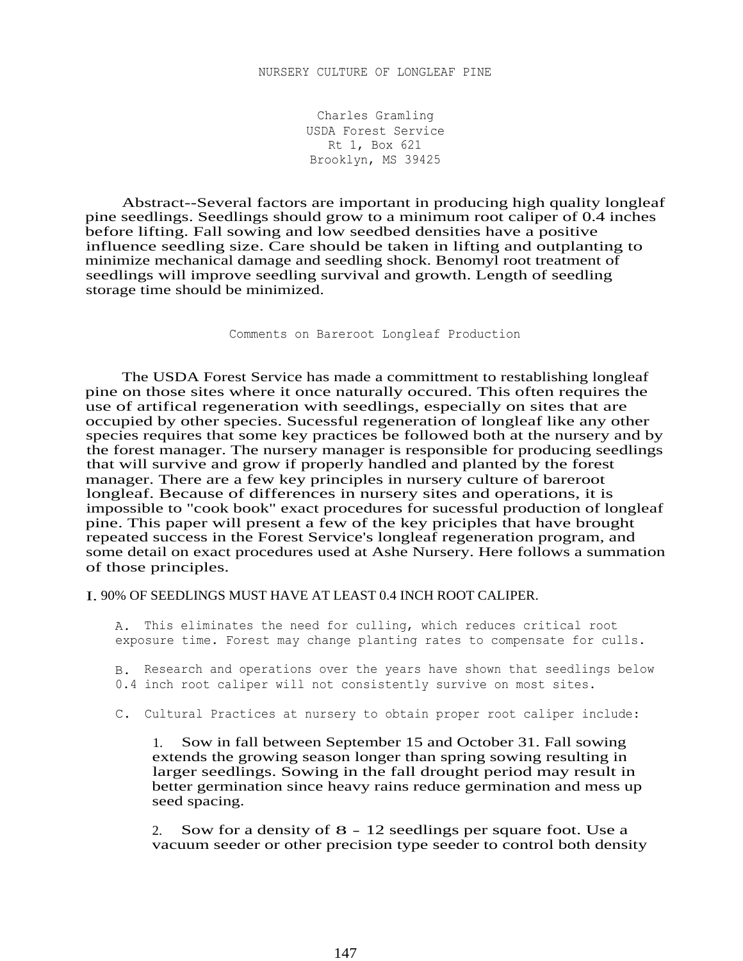Charles Gramling USDA Forest Service Rt 1, Box 621 Brooklyn, MS 39425

Abstract--Several factors are important in producing high quality longleaf pine seedlings. Seedlings should grow to a minimum root caliper of 0.4 inches before lifting. Fall sowing and low seedbed densities have a positive influence seedling size. Care should be taken in lifting and outplanting to minimize mechanical damage and seedling shock. Benomyl root treatment of seedlings will improve seedling survival and growth. Length of seedling storage time should be minimized.

Comments on Bareroot Longleaf Production

The USDA Forest Service has made a committment to restablishing longleaf pine on those sites where it once naturally occured. This often requires the use of artifical regeneration with seedlings, especially on sites that are occupied by other species. Sucessful regeneration of longleaf like any other species requires that some key practices be followed both at the nursery and by the forest manager. The nursery manager is responsible for producing seedlings that will survive and grow if properly handled and planted by the forest manager. There are a few key principles in nursery culture of bareroot longleaf. Because of differences in nursery sites and operations, it is impossible to "cook book" exact procedures for sucessful production of longleaf pine. This paper will present a few of the key priciples that have brought repeated success in the Forest Service's longleaf regeneration program, and some detail on exact procedures used at Ashe Nursery. Here follows a summation of those principles.

I. 90% OF SEEDLINGS MUST HAVE AT LEAST 0.4 INCH ROOT CALIPER.

A. This eliminates the need for culling, which reduces critical root exposure time. Forest may change planting rates to compensate for culls.

B. Research and operations over the years have shown that seedlings below 0.4 inch root caliper will not consistently survive on most sites.

C. Cultural Practices at nursery to obtain proper root caliper include:

1. Sow in fall between September 15 and October 31. Fall sowing extends the growing season longer than spring sowing resulting in larger seedlings. Sowing in the fall drought period may result in better germination since heavy rains reduce germination and mess up seed spacing.

2. Sow for a density of 8 - 12 seedlings per square foot. Use a vacuum seeder or other precision type seeder to control both density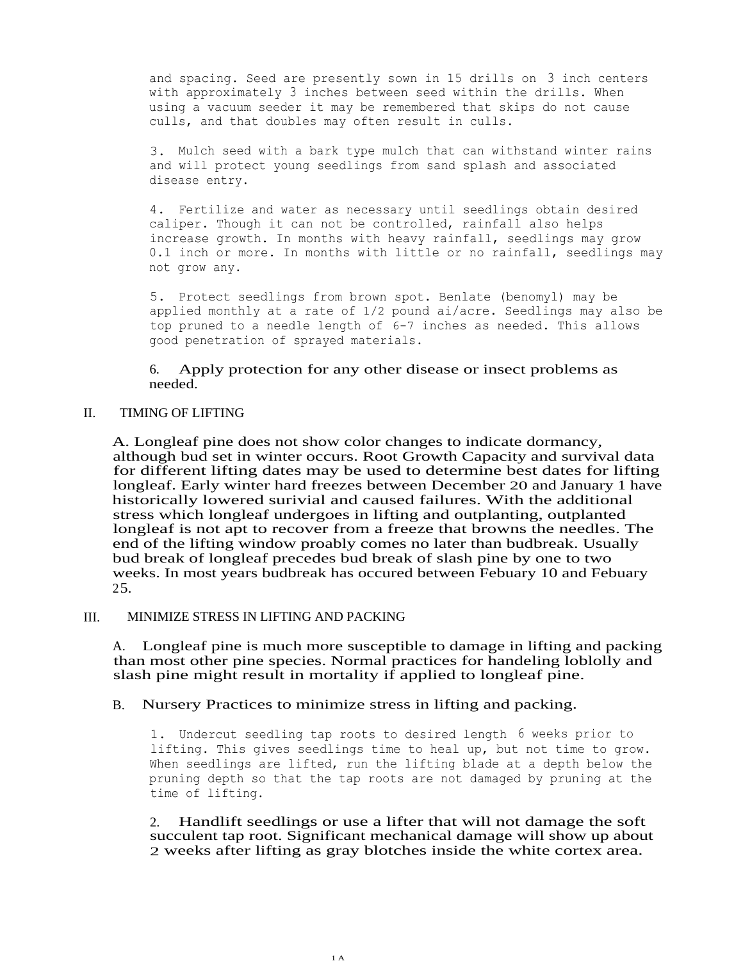and spacing. Seed are presently sown in 15 drills on 3 inch centers with approximately 3 inches between seed within the drills. When using a vacuum seeder it may be remembered that skips do not cause culls, and that doubles may often result in culls.

3. Mulch seed with a bark type mulch that can withstand winter rains and will protect young seedlings from sand splash and associated disease entry.

4. Fertilize and water as necessary until seedlings obtain desired caliper. Though it can not be controlled, rainfall also helps increase growth. In months with heavy rainfall, seedlings may grow 0.1 inch or more. In months with little or no rainfall, seedlings may not grow any.

5. Protect seedlings from brown spot. Benlate (benomyl) may be applied monthly at a rate of 1/2 pound ai/acre. Seedlings may also be top pruned to a needle length of 6-7 inches as needed. This allows good penetration of sprayed materials.

6. Apply protection for any other disease or insect problems as needed.

# II. TIMING OF LIFTING

A. Longleaf pine does not show color changes to indicate dormancy, although bud set in winter occurs. Root Growth Capacity and survival data for different lifting dates may be used to determine best dates for lifting longleaf. Early winter hard freezes between December 20 and January 1 have historically lowered surivial and caused failures. With the additional stress which longleaf undergoes in lifting and outplanting, outplanted longleaf is not apt to recover from a freeze that browns the needles. The end of the lifting window proably comes no later than budbreak. Usually bud break of longleaf precedes bud break of slash pine by one to two weeks. In most years budbreak has occured between Febuary 10 and Febuary 25.

## III. MINIMIZE STRESS IN LIFTING AND PACKING

A. Longleaf pine is much more susceptible to damage in lifting and packing than most other pine species. Normal practices for handeling loblolly and slash pine might result in mortality if applied to longleaf pine.

## B. Nursery Practices to minimize stress in lifting and packing.

1. Undercut seedling tap roots to desired length 6 weeks prior to lifting. This gives seedlings time to heal up, but not time to grow. When seedlings are lifted, run the lifting blade at a depth below the pruning depth so that the tap roots are not damaged by pruning at the time of lifting.

2. Handlift seedlings or use a lifter that will not damage the soft succulent tap root. Significant mechanical damage will show up about 2 weeks after lifting as gray blotches inside the white cortex area.